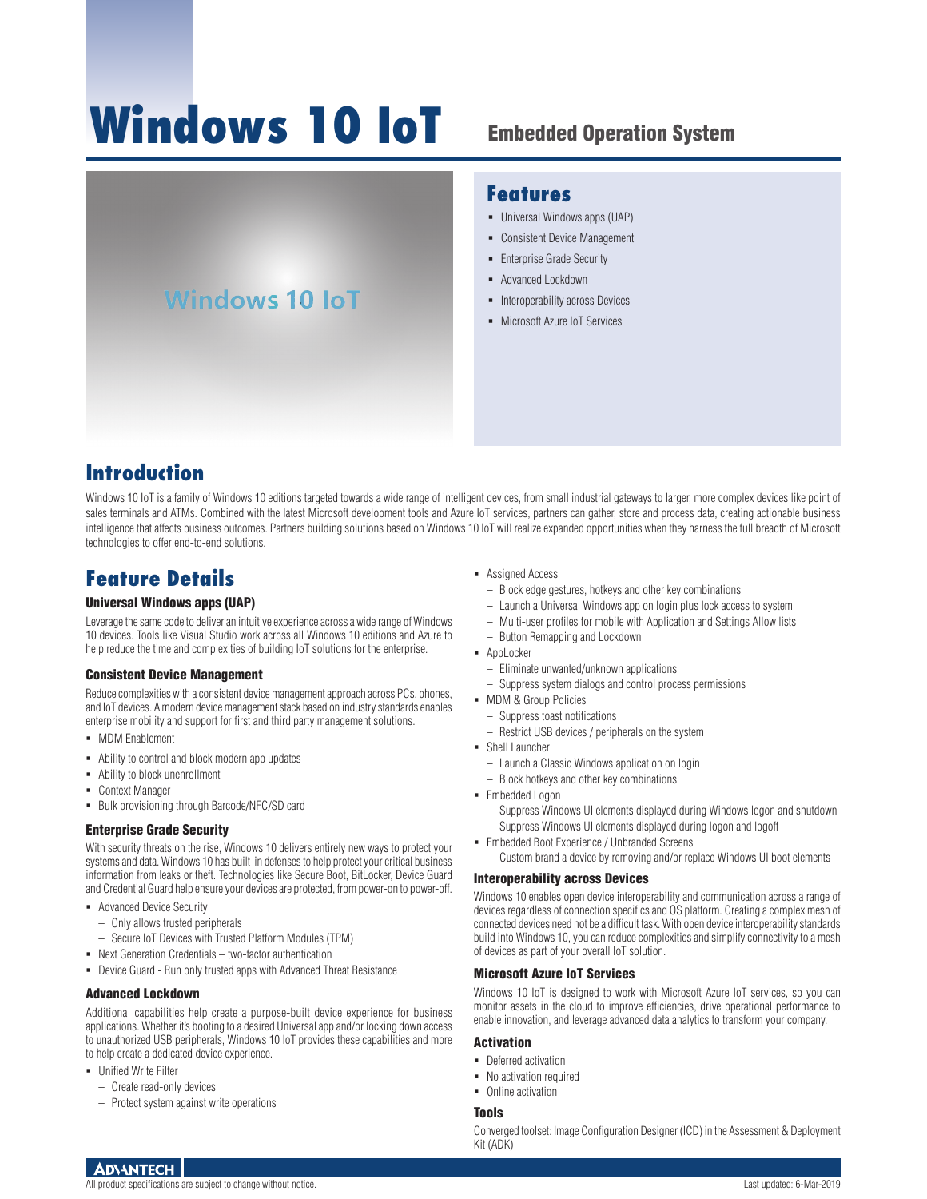# **Windows 10 IoT**

# Embedded Operation System

# **Windows 10 IoT**

#### **Features**

- Universal Windows apps (UAP)
- Consistent Device Management
- **Enterprise Grade Security**
- **-** Advanced Lockdown
- Interoperability across Devices
- **Microsoft Azure IoT Services**

# **Introduction**

Windows 10 IoT is a family of Windows 10 editions targeted towards a wide range of intelligent devices, from small industrial gateways to larger, more complex devices like point of sales terminals and ATMs. Combined with the latest Microsoft development tools and Azure IoT services, partners can gather, store and process data, creating actionable business intelligence that affects business outcomes. Partners building solutions based on Windows 10 IoT will realize expanded opportunities when they harness the full breadth of Microsoft technologies to offer end-to-end solutions.

## **Feature Details**

#### Universal Windows apps (UAP)

Leverage the same code to deliver an intuitive experience across a wide range of Windows 10 devices. Tools like Visual Studio work across all Windows 10 editions and Azure to help reduce the time and complexities of building IoT solutions for the enterprise.

#### Consistent Device Management

Reduce complexities with a consistent device management approach across PCs, phones, and IoT devices. A modern device management stack based on industry standards enables enterprise mobility and support for first and third party management solutions.

- **MDM Fnablement**
- Ability to control and block modern app updates
- Ability to block unenrollment
- Context Manager
- **Bulk provisioning through Barcode/NFC/SD card**

#### Enterprise Grade Security

With security threats on the rise, Windows 10 delivers entirely new ways to protect your systems and data. Windows 10 has built-in defenses to help protect your critical business information from leaks or theft. Technologies like Secure Boot, BitLocker, Device Guard and Credential Guard help ensure your devices are protected, from power-on to power-off.

- **Advanced Device Security** 
	- Only allows trusted peripherals
	- Secure IoT Devices with Trusted Platform Modules (TPM)
- Next Generation Credentials two-factor authentication
- Device Guard Run only trusted apps with Advanced Threat Resistance

#### Advanced Lockdown

Additional capabilities help create a purpose-built device experience for business applications. Whether it's booting to a desired Universal app and/or locking down access to unauthorized USB peripherals, Windows 10 IoT provides these capabilities and more to help create a dedicated device experience.

- **-** Unified Write Filter
	- Create read-only devices
	- Protect system against write operations
- Assigned Access
	- Block edge gestures, hotkeys and other key combinations
	- Launch a Universal Windows app on login plus lock access to system
	- Multi-user profiles for mobile with Application and Settings Allow lists
	- Button Remapping and Lockdown
- **-** AppLocker
	- Eliminate unwanted/unknown applications
	- Suppress system dialogs and control process permissions
- $\blacksquare$  MDM & Group Policies
- Suppress toast notifications
- Restrict USB devices / peripherals on the system
- Shell Launcher
	- Launch a Classic Windows application on login
	- Block hotkeys and other key combinations
- **Embedded Logon** 
	- Suppress Windows UI elements displayed during Windows logon and shutdown – Suppress Windows UI elements displayed during logon and logoff
- Embedded Boot Experience / Unbranded Screens
	- Custom brand a device by removing and/or replace Windows UI boot elements

#### Interoperability across Devices

Windows 10 enables open device interoperability and communication across a range of devices regardless of connection specifics and OS platform. Creating a complex mesh of connected devices need not be a difficult task. With open device interoperability standards build into Windows 10, you can reduce complexities and simplify connectivity to a mesh of devices as part of your overall IoT solution.

#### Microsoft Azure IoT Services

Windows 10 IoT is designed to work with Microsoft Azure IoT services, so you can monitor assets in the cloud to improve efficiencies, drive operational performance to enable innovation, and leverage advanced data analytics to transform your company.

#### Activation

- Deferred activation
- No activation required
- Online activation

#### **Tools**

Converged toolset: Image Configuration Designer (ICD) in the Assessment & Deployment Kit (ADK)

#### **ADVANTECH**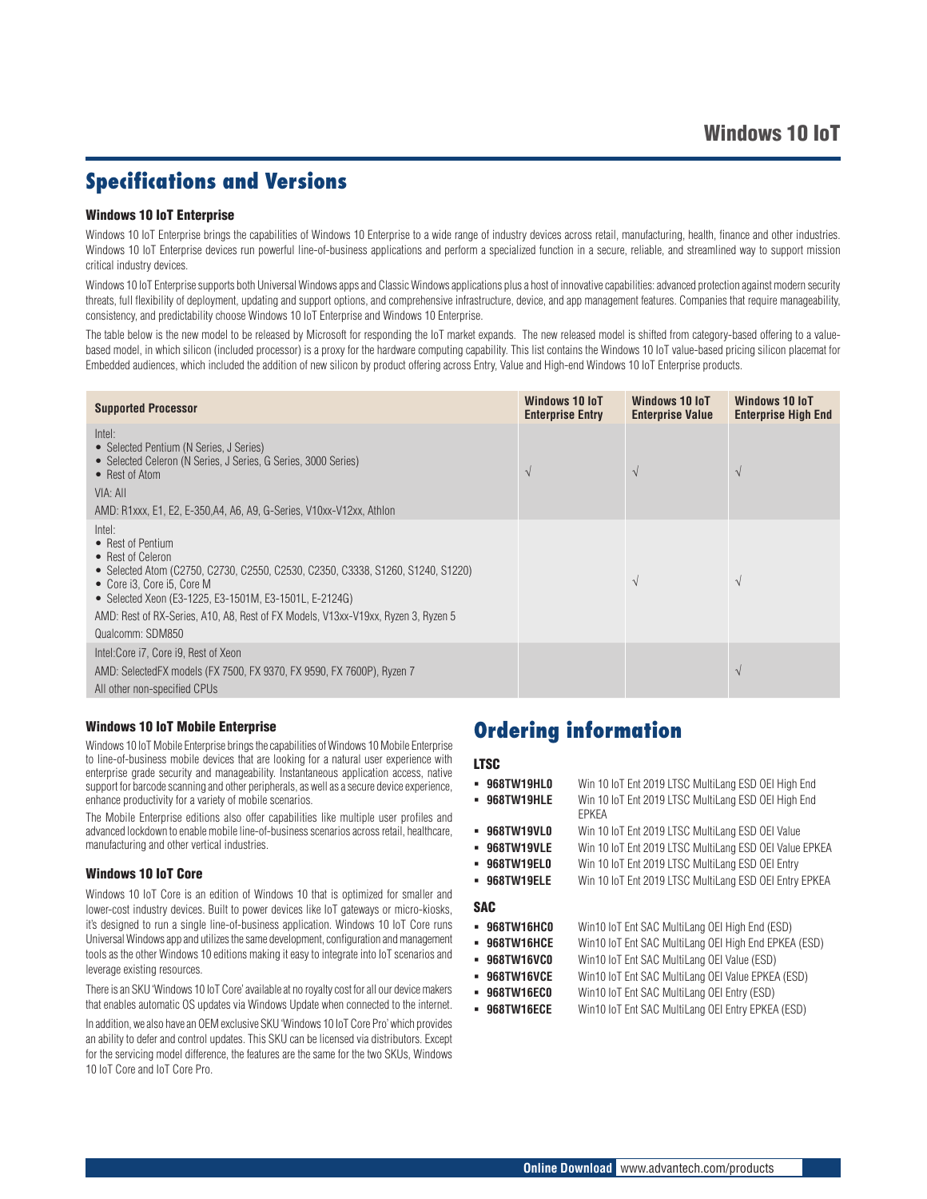### **Specifications and Versions**

#### Windows 10 IoT Enterprise

Windows 10 IoT Enterprise brings the capabilities of Windows 10 Enterprise to a wide range of industry devices across retail, manufacturing, health, finance and other industries. Windows 10 IoT Enterprise devices run powerful line-of-business applications and perform a specialized function in a secure, reliable, and streamlined way to support mission critical industry devices.

Windows 10 IoT Enterprise supports both Universal Windows apps and Classic Windows applications plus a host of innovative capabilities: advanced protection against modern security threats, full flexibility of deployment, updating and support options, and comprehensive infrastructure, device, and app management features. Companies that require manageability, consistency, and predictability choose Windows 10 IoT Enterprise and Windows 10 Enterprise.

The table below is the new model to be released by Microsoft for responding the IoT market expands. The new released model is shifted from category-based offering to a valuebased model, in which silicon (included processor) is a proxy for the hardware computing capability. This list contains the Windows 10 IoT value-based pricing silicon placemat for Embedded audiences, which included the addition of new silicon by product offering across Entry, Value and High-end Windows 10 IoT Enterprise products.

| <b>Supported Processor</b>                                                                                                                                                                                                                                                                                                           | Windows 10 IoT<br><b>Enterprise Entry</b> | Windows 10 IoT<br><b>Enterprise Value</b> | Windows 10 IoT<br><b>Enterprise High End</b> |
|--------------------------------------------------------------------------------------------------------------------------------------------------------------------------------------------------------------------------------------------------------------------------------------------------------------------------------------|-------------------------------------------|-------------------------------------------|----------------------------------------------|
| Intel:<br>• Selected Pentium (N Series, J Series)<br>• Selected Celeron (N Series, J Series, G Series, 3000 Series)<br>• Rest of Atom<br>VIA: All<br>AMD: R1xxx, E1, E2, E-350,A4, A6, A9, G-Series, V10xx-V12xx, Athlon                                                                                                             | $\overline{\mathcal{N}}$                  | $\sqrt{ }$                                | $\mathcal{N}$                                |
| Intel:<br>• Rest of Pentium<br>• Rest of Celeron<br>• Selected Atom (C2750, C2730, C2550, C2530, C2350, C3338, S1260, S1240, S1220)<br>• Core i3, Core i5, Core M<br>• Selected Xeon (E3-1225, E3-1501M, E3-1501L, E-2124G)<br>AMD: Rest of RX-Series, A10, A8, Rest of FX Models, V13xx-V19xx, Ryzen 3, Ryzen 5<br>Qualcomm: SDM850 |                                           | $\sqrt{ }$                                | $\lambda$                                    |
| Intel:Core i7, Core i9, Rest of Xeon<br>AMD: SelectedFX models (FX 7500, FX 9370, FX 9590, FX 7600P), Ryzen 7<br>All other non-specified CPUs                                                                                                                                                                                        |                                           |                                           | $\mathcal{N}$                                |

#### Windows 10 IoT Mobile Enterprise

Windows 10 IoT Mobile Enterprise brings the capabilities of Windows 10 Mobile Enterprise to line-of-business mobile devices that are looking for a natural user experience with enterprise grade security and manageability. Instantaneous application access, native support for barcode scanning and other peripherals, as well as a secure device experience, enhance productivity for a variety of mobile scenarios.

The Mobile Enterprise editions also offer capabilities like multiple user profiles and advanced lockdown to enable mobile line-of-business scenarios across retail, healthcare, manufacturing and other vertical industries.

#### Windows 10 IoT Core

Windows 10 IoT Core is an edition of Windows 10 that is optimized for smaller and lower-cost industry devices. Built to power devices like IoT gateways or micro-kiosks, it's designed to run a single line-of-business application. Windows 10 IoT Core runs Universal Windows app and utilizes the same development, configuration and management tools as the other Windows 10 editions making it easy to integrate into IoT scenarios and leverage existing resources.

There is an SKU 'Windows 10 IoT Core' available at no royalty cost for all our device makers that enables automatic OS updates via Windows Update when connected to the internet.

In addition, we also have an OEM exclusive SKU 'Windows 10 IoT Core Pro' which provides an ability to defer and control updates. This SKU can be licensed via distributors. Except for the servicing model difference, the features are the same for the two SKUs, Windows 10 IoT Core and IoT Core Pro.

### **Ordering information**

#### LTSC

- **968TW19HL0** Win 10 IoT Ent 2019 LTSC MultiLang ESD OEI High End
- **968TW19HLE** Win 10 IoT Ent 2019 LTSC MultiLang ESD OEI High End EPKEA
- **968TW19VL0** Win 10 IoT Ent 2019 LTSC MultiLang ESD OEI Value
- **968TW19VLE** Win 10 IoT Ent 2019 LTSC MultiLang ESD OEI Value EPKEA
- **968TW19EL0** Win 10 IoT Ent 2019 LTSC MultiLang ESD OEI Entry
- **968TW19ELE** Win 10 IoT Ent 2019 LTSC MultiLang ESD OEI Entry EPKEA

#### SAC

- **968TW16HC0** Win10 IoT Ent SAC MultiLang OEI High End (ESD)
- **968TW16HCE** Win10 IoT Ent SAC MultiLang OEI High End EPKEA (ESD)
- **968TW16VC0** Win10 IoT Ent SAC MultiLang OEI Value (ESD)
- **968TW16VCE** Win10 IoT Ent SAC MultiLang OEI Value EPKEA (ESD)
- **968TW16EC0** Win10 IoT Ent SAC MultiLang OEI Entry (ESD)
- **968TW16ECE** Win10 IoT Ent SAC MultiLang OEI Entry EPKEA (ESD)
	-